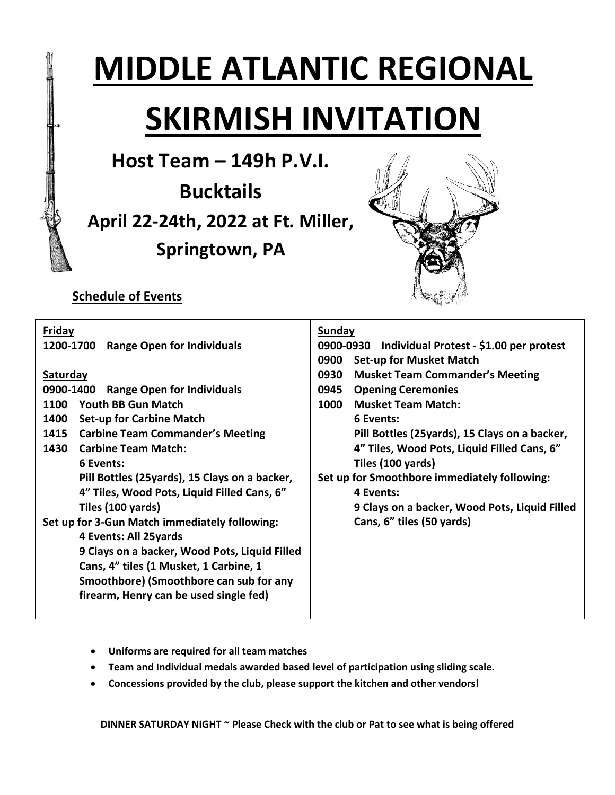# **MIDDLE ATLANTIC REGIONAL SKIRMISH INVITATION**

**Host Team – 149h P.V.I.**

**Bucktails April 22-24th, 2022 at Ft. Miller, Springtown, PA**



## **Schedule of Events**

| 0900-0930 Individual Protest - \$1.00 per protest |
|---------------------------------------------------|
|                                                   |
| <b>Musket Team Commander's Meeting</b>            |
|                                                   |
|                                                   |
|                                                   |
| Pill Bottles (25yards), 15 Clays on a backer,     |
| 4" Tiles, Wood Pots, Liquid Filled Cans, 6"       |
|                                                   |
| Set up for Smoothbore immediately following:      |
|                                                   |
| 9 Clays on a backer, Wood Pots, Liquid Filled     |
|                                                   |
|                                                   |
|                                                   |
|                                                   |
|                                                   |
|                                                   |
|                                                   |
|                                                   |

- **Uniforms are required for all team matches**
- **Team and Individual medals awarded based level of participation using sliding scale.**
- **Concessions provided by the club, please support the kitchen and other vendors!**

**DINNER SATURDAY NIGHT ~ Please Check with the club or Pat to see what is being offered**